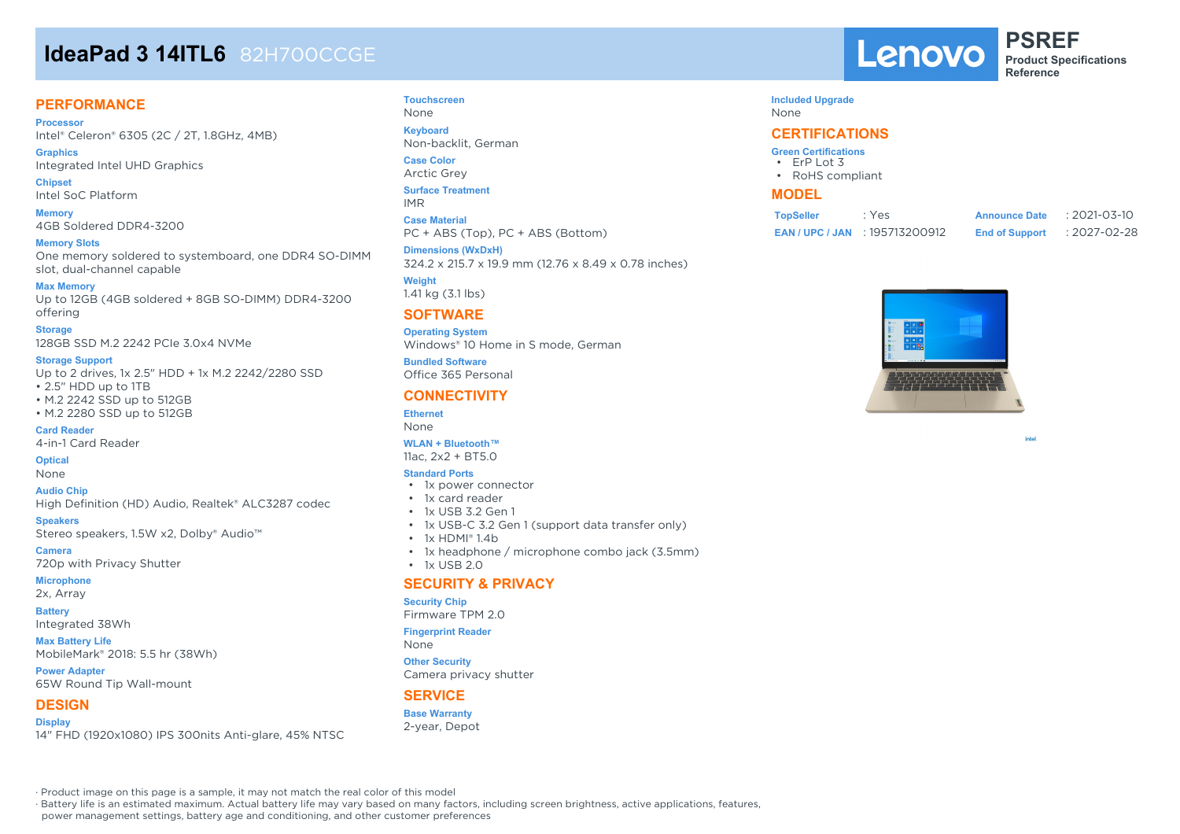# **IdeaPad 3 14ITL6** 82H700CCGE

## **PERFORMANCE**

**Processor** Intel® Celeron® 6305 (2C / 2T, 1.8GHz, 4MB)

**Graphics** Integrated Intel UHD Graphics

**Chipset** Intel SoC Platform

**Memory** 4GB Soldered DDR4-3200

**Memory Slots** One memory soldered to systemboard, one DDR4 SO-DIMM slot, dual-channel capable

### **Max Memory**

Up to 12GB (4GB soldered + 8GB SO-DIMM) DDR4-3200 offering

**Storage**

128GB SSD M.2 2242 PCIe 3.0x4 NVMe

### **Storage Support**

Up to 2 drives, 1x 2.5" HDD + 1x M.2 2242/2280 SSD • 2.5" HDD up to 1TB

• M.2 2242 SSD up to 512GB • M.2 2280 SSD up to 512GB

**Card Reader**

4-in-1 Card Reader

**Optical**

None

**Audio Chip** High Definition (HD) Audio, Realtek® ALC3287 codec

**Speakers** Stereo speakers, 1.5W x2, Dolby® Audio™

**Camera** 720p with Privacy Shutter

**Microphone**

2x, Array

**Battery**

Integrated 38Wh

**Max Battery Life** MobileMark® 2018: 5.5 hr (38Wh)

**Power Adapter** 65W Round Tip Wall-mount

## **DESIGN**

**Display** 14" FHD (1920x1080) IPS 300nits Anti-glare, 45% NTSC

### **Touchscreen** None **Keyboard**

Non-backlit, German

**Case Color** Arctic Grey

**Surface Treatment** IMR

**Case Material** PC + ABS (Top), PC + ABS (Bottom)

**Dimensions (WxDxH)** 324.2 x 215.7 x 19.9 mm (12.76 x 8.49 x 0.78 inches)

**Weight** 1.41 kg (3.1 lbs)

## **SOFTWARE**

**Operating System** Windows® 10 Home in S mode, German

**Bundled Software** Office 365 Personal

## **CONNECTIVITY**

**Ethernet** None

### **WLAN + Bluetooth™** 11ac, 2x2 + BT5.0

**Standard Ports**

- 1x power connector
- 1x card reader
- 1x USB 3.2 Gen 1
- 1x USB-C 3.2 Gen 1 (support data transfer only)
- 1x HDMI® 1.4b
- 1x headphone / microphone combo jack (3.5mm)
- $\cdot$  1x USB 2.0

## **SECURITY & PRIVACY**

### **Security Chip**

Firmware TPM 2.0

None

**Other Security**

## **SERVICE**

**Base Warranty** 2-year, Depot Lenovo

**PSREF Product Specifications Reference**

## **Included Upgrade**

None

## **CERTIFICATIONS**

- **Green Certifications** • ErP Lot 3
- RoHS compliant

## **MODEL**

| <b>TopSeller</b> | : Yes                             | <b>Announce Date</b>  | $: 2021 - 03 - 10$ |
|------------------|-----------------------------------|-----------------------|--------------------|
|                  | <b>EAN/UPC/JAN : 195713200912</b> | <b>End of Support</b> | : 2027-02-28       |



intel

· Product image on this page is a sample, it may not match the real color of this model

· Battery life is an estimated maximum. Actual battery life may vary based on many factors, including screen brightness, active applications, features,

power management settings, battery age and conditioning, and other customer preferences

**Fingerprint Reader**

Camera privacy shutter